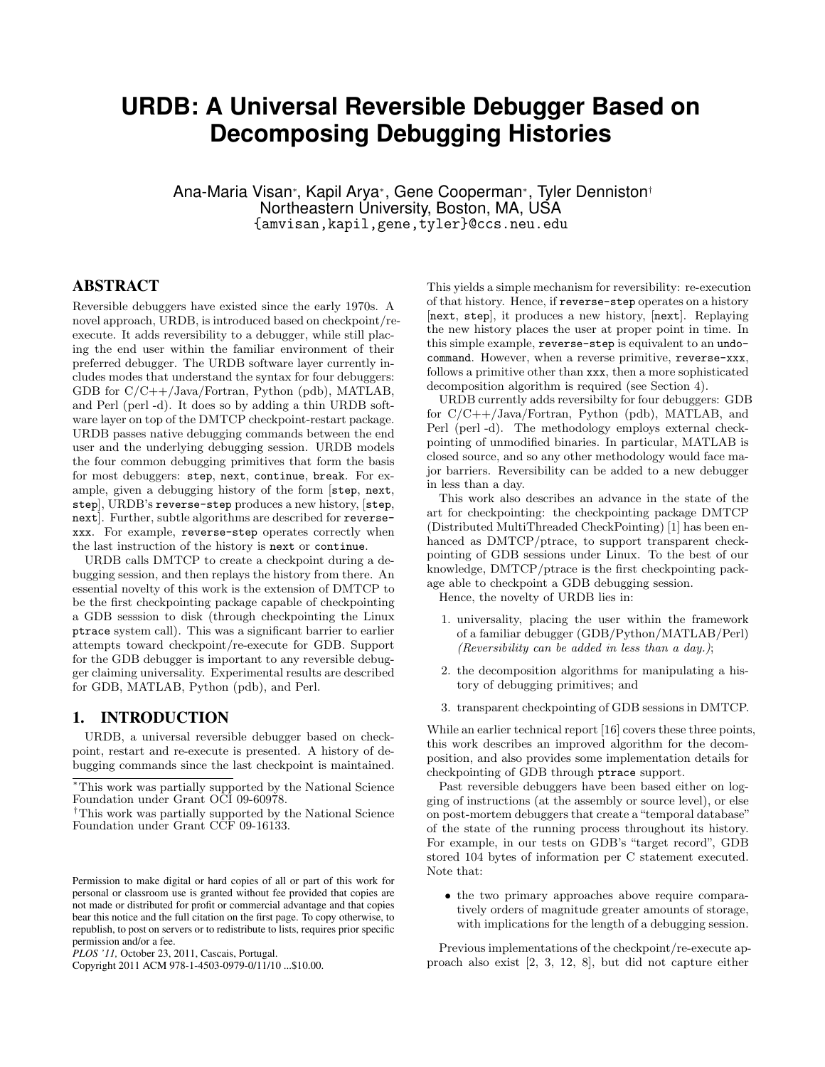# **URDB: A Universal Reversible Debugger Based on Decomposing Debugging Histories**

Ana-Maria Visan<sup>∗</sup> , Kapil Arya<sup>∗</sup> , Gene Cooperman<sup>∗</sup> , Tyler Denniston† Northeastern University, Boston, MA, USA {amvisan,kapil,gene,tyler}@ccs.neu.edu

## ABSTRACT

Reversible debuggers have existed since the early 1970s. A novel approach, URDB, is introduced based on checkpoint/reexecute. It adds reversibility to a debugger, while still placing the end user within the familiar environment of their preferred debugger. The URDB software layer currently includes modes that understand the syntax for four debuggers: GDB for C/C++/Java/Fortran, Python (pdb), MATLAB, and Perl (perl -d). It does so by adding a thin URDB software layer on top of the DMTCP checkpoint-restart package. URDB passes native debugging commands between the end user and the underlying debugging session. URDB models the four common debugging primitives that form the basis for most debuggers: step, next, continue, break. For example, given a debugging history of the form [step, next, step], URDB's reverse-step produces a new history, [step, next]. Further, subtle algorithms are described for reversexxx. For example, reverse-step operates correctly when the last instruction of the history is next or continue.

URDB calls DMTCP to create a checkpoint during a debugging session, and then replays the history from there. An essential novelty of this work is the extension of DMTCP to be the first checkpointing package capable of checkpointing a GDB sesssion to disk (through checkpointing the Linux ptrace system call). This was a significant barrier to earlier attempts toward checkpoint/re-execute for GDB. Support for the GDB debugger is important to any reversible debugger claiming universality. Experimental results are described for GDB, MATLAB, Python (pdb), and Perl.

#### 1. INTRODUCTION

URDB, a universal reversible debugger based on checkpoint, restart and re-execute is presented. A history of debugging commands since the last checkpoint is maintained.

This yields a simple mechanism for reversibility: re-execution of that history. Hence, if reverse-step operates on a history [next, step], it produces a new history, [next]. Replaying the new history places the user at proper point in time. In this simple example, reverse-step is equivalent to an undocommand. However, when a reverse primitive, reverse-xxx, follows a primitive other than xxx, then a more sophisticated decomposition algorithm is required (see Section 4).

URDB currently adds reversibilty for four debuggers: GDB for C/C++/Java/Fortran, Python (pdb), MATLAB, and Perl (perl -d). The methodology employs external checkpointing of unmodified binaries. In particular, MATLAB is closed source, and so any other methodology would face major barriers. Reversibility can be added to a new debugger in less than a day.

This work also describes an advance in the state of the art for checkpointing: the checkpointing package DMTCP (Distributed MultiThreaded CheckPointing) [1] has been enhanced as DMTCP/ptrace, to support transparent checkpointing of GDB sessions under Linux. To the best of our knowledge, DMTCP/ptrace is the first checkpointing package able to checkpoint a GDB debugging session.

Hence, the novelty of URDB lies in:

- 1. universality, placing the user within the framework of a familiar debugger (GDB/Python/MATLAB/Perl) (Reversibility can be added in less than a day.);
- 2. the decomposition algorithms for manipulating a history of debugging primitives; and
- 3. transparent checkpointing of GDB sessions in DMTCP.

While an earlier technical report [16] covers these three points, this work describes an improved algorithm for the decomposition, and also provides some implementation details for checkpointing of GDB through ptrace support.

Past reversible debuggers have been based either on logging of instructions (at the assembly or source level), or else on post-mortem debuggers that create a"temporal database" of the state of the running process throughout its history. For example, in our tests on GDB's "target record", GDB stored 104 bytes of information per C statement executed. Note that:

• the two primary approaches above require comparatively orders of magnitude greater amounts of storage, with implications for the length of a debugging session.

Previous implementations of the checkpoint/re-execute approach also exist [2, 3, 12, 8], but did not capture either

<sup>∗</sup>This work was partially supported by the National Science Foundation under Grant OCI 09-60978.

<sup>†</sup>This work was partially supported by the National Science Foundation under Grant CCF 09-16133.

Permission to make digital or hard copies of all or part of this work for personal or classroom use is granted without fee provided that copies are not made or distributed for profit or commercial advantage and that copies bear this notice and the full citation on the first page. To copy otherwise, to republish, to post on servers or to redistribute to lists, requires prior specific permission and/or a fee.

*PLOS '11,* October 23, 2011, Cascais, Portugal.

Copyright 2011 ACM 978-1-4503-0979-0/11/10 ...\$10.00.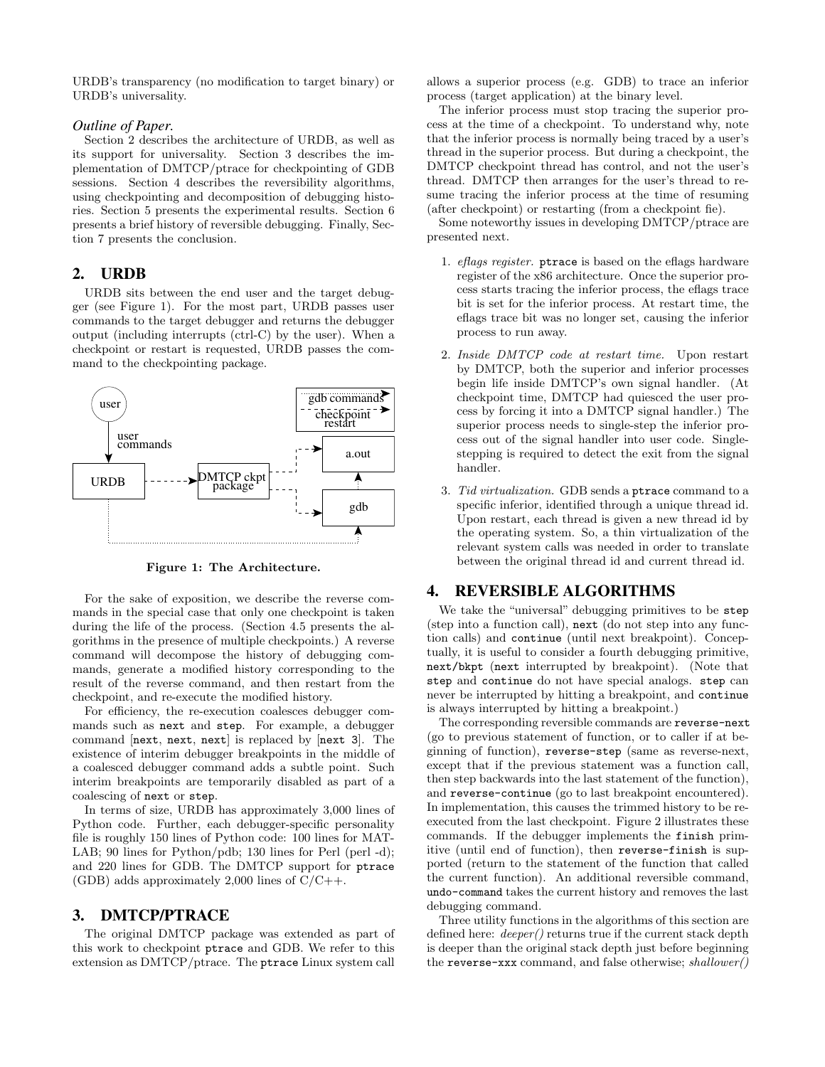URDB's transparency (no modification to target binary) or URDB's universality.

## *Outline of Paper.*

Section 2 describes the architecture of URDB, as well as its support for universality. Section 3 describes the implementation of DMTCP/ptrace for checkpointing of GDB sessions. Section 4 describes the reversibility algorithms, using checkpointing and decomposition of debugging histories. Section 5 presents the experimental results. Section 6 presents a brief history of reversible debugging. Finally, Section 7 presents the conclusion.

## 2. URDB

URDB sits between the end user and the target debugger (see Figure 1). For the most part, URDB passes user commands to the target debugger and returns the debugger output (including interrupts (ctrl-C) by the user). When a checkpoint or restart is requested, URDB passes the command to the checkpointing package.



Figure 1: The Architecture.

For the sake of exposition, we describe the reverse commands in the special case that only one checkpoint is taken during the life of the process. (Section 4.5 presents the algorithms in the presence of multiple checkpoints.) A reverse command will decompose the history of debugging commands, generate a modified history corresponding to the result of the reverse command, and then restart from the checkpoint, and re-execute the modified history.

For efficiency, the re-execution coalesces debugger commands such as next and step. For example, a debugger command  $[next, next, next]$  is replaced by  $[next 3]$ . The existence of interim debugger breakpoints in the middle of a coalesced debugger command adds a subtle point. Such interim breakpoints are temporarily disabled as part of a coalescing of next or step.

In terms of size, URDB has approximately 3,000 lines of Python code. Further, each debugger-specific personality file is roughly 150 lines of Python code: 100 lines for MAT-LAB; 90 lines for Python/pdb; 130 lines for Perl (perl -d); and 220 lines for GDB. The DMTCP support for ptrace (GDB) adds approximately 2,000 lines of  $C/C++$ .

## 3. DMTCP/PTRACE

The original DMTCP package was extended as part of this work to checkpoint ptrace and GDB. We refer to this extension as DMTCP/ptrace. The ptrace Linux system call allows a superior process (e.g. GDB) to trace an inferior process (target application) at the binary level.

The inferior process must stop tracing the superior process at the time of a checkpoint. To understand why, note that the inferior process is normally being traced by a user's thread in the superior process. But during a checkpoint, the DMTCP checkpoint thread has control, and not the user's thread. DMTCP then arranges for the user's thread to resume tracing the inferior process at the time of resuming (after checkpoint) or restarting (from a checkpoint fie).

Some noteworthy issues in developing DMTCP/ptrace are presented next.

- 1. eflags register. ptrace is based on the eflags hardware register of the x86 architecture. Once the superior process starts tracing the inferior process, the eflags trace bit is set for the inferior process. At restart time, the eflags trace bit was no longer set, causing the inferior process to run away.
- 2. Inside DMTCP code at restart time. Upon restart by DMTCP, both the superior and inferior processes begin life inside DMTCP's own signal handler. (At checkpoint time, DMTCP had quiesced the user process by forcing it into a DMTCP signal handler.) The superior process needs to single-step the inferior process out of the signal handler into user code. Singlestepping is required to detect the exit from the signal handler.
- 3. Tid virtualization. GDB sends a ptrace command to a specific inferior, identified through a unique thread id. Upon restart, each thread is given a new thread id by the operating system. So, a thin virtualization of the relevant system calls was needed in order to translate between the original thread id and current thread id.

## 4. REVERSIBLE ALGORITHMS

We take the "universal" debugging primitives to be step (step into a function call), next (do not step into any function calls) and continue (until next breakpoint). Conceptually, it is useful to consider a fourth debugging primitive, next/bkpt (next interrupted by breakpoint). (Note that step and continue do not have special analogs. step can never be interrupted by hitting a breakpoint, and continue is always interrupted by hitting a breakpoint.)

The corresponding reversible commands are reverse-next (go to previous statement of function, or to caller if at beginning of function), reverse-step (same as reverse-next, except that if the previous statement was a function call, then step backwards into the last statement of the function), and reverse-continue (go to last breakpoint encountered). In implementation, this causes the trimmed history to be reexecuted from the last checkpoint. Figure 2 illustrates these commands. If the debugger implements the finish primitive (until end of function), then reverse-finish is supported (return to the statement of the function that called the current function). An additional reversible command, undo-command takes the current history and removes the last debugging command.

Three utility functions in the algorithms of this section are defined here: *deeper()* returns true if the current stack depth is deeper than the original stack depth just before beginning the reverse-xxx command, and false otherwise; shallower()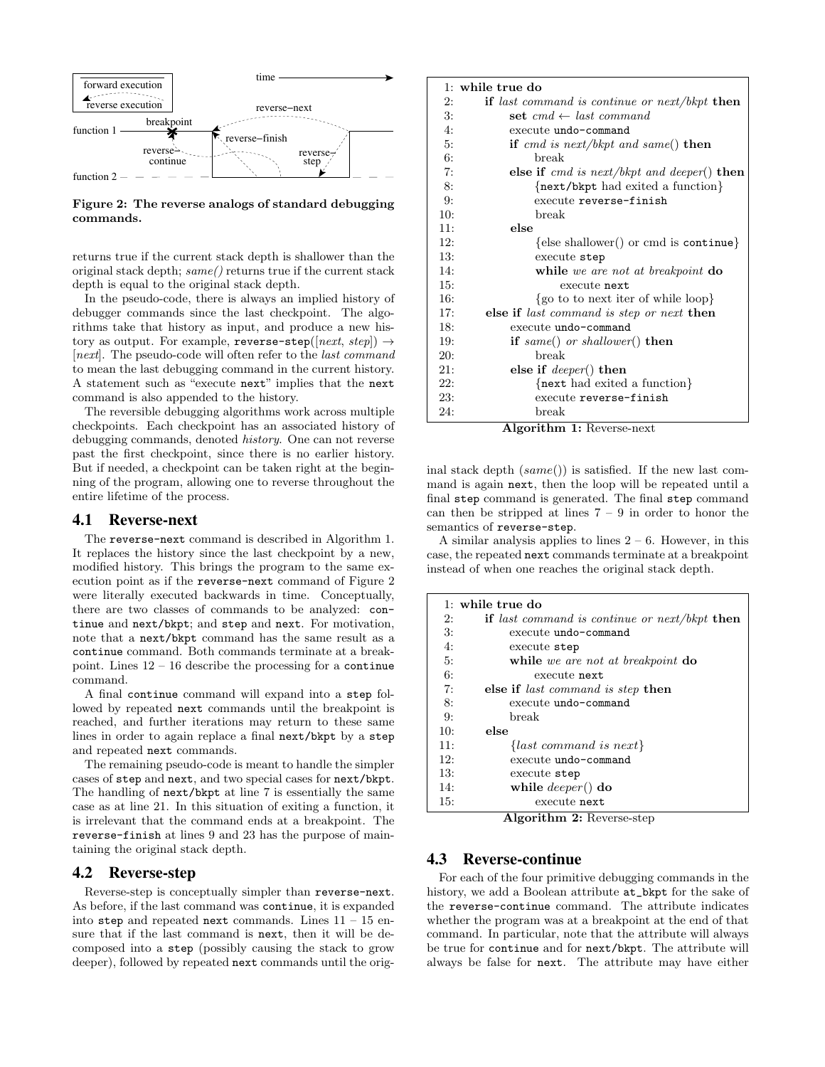

Figure 2: The reverse analogs of standard debugging commands.

returns true if the current stack depth is shallower than the original stack depth; same() returns true if the current stack depth is equal to the original stack depth.

In the pseudo-code, there is always an implied history of debugger commands since the last checkpoint. The algorithms take that history as input, and produce a new history as output. For example, reverse-step( $[next, step] \rightarrow$ [next]. The pseudo-code will often refer to the *last command* to mean the last debugging command in the current history. A statement such as "execute next" implies that the next command is also appended to the history.

The reversible debugging algorithms work across multiple checkpoints. Each checkpoint has an associated history of debugging commands, denoted history. One can not reverse past the first checkpoint, since there is no earlier history. But if needed, a checkpoint can be taken right at the beginning of the program, allowing one to reverse throughout the entire lifetime of the process.

## 4.1 Reverse-next

The reverse-next command is described in Algorithm 1. It replaces the history since the last checkpoint by a new, modified history. This brings the program to the same execution point as if the reverse-next command of Figure 2 were literally executed backwards in time. Conceptually, there are two classes of commands to be analyzed: continue and next/bkpt; and step and next. For motivation, note that a next/bkpt command has the same result as a continue command. Both commands terminate at a breakpoint. Lines 12 – 16 describe the processing for a continue command.

A final continue command will expand into a step followed by repeated next commands until the breakpoint is reached, and further iterations may return to these same lines in order to again replace a final next/bkpt by a step and repeated next commands.

The remaining pseudo-code is meant to handle the simpler cases of step and next, and two special cases for next/bkpt. The handling of next/bkpt at line 7 is essentially the same case as at line 21. In this situation of exiting a function, it is irrelevant that the command ends at a breakpoint. The reverse-finish at lines 9 and 23 has the purpose of maintaining the original stack depth.

#### 4.2 Reverse-step

Reverse-step is conceptually simpler than reverse-next. As before, if the last command was continue, it is expanded into step and repeated next commands. Lines  $11 - 15$  ensure that if the last command is next, then it will be decomposed into a step (possibly causing the stack to grow deeper), followed by repeated next commands until the orig-

|     | $1:$ while true do                              |
|-----|-------------------------------------------------|
| 2:  | if last command is continue or $next/bkpt$ then |
| 3:  | set $cmd \leftarrow last\ command$              |
| 4:  | execute undo-command                            |
| 5:  | if cmd is next/bkpt and same() then             |
| 6:  | break                                           |
| 7:  | else if $cmd$ is next/bkpt and deeper() then    |
| 8:  | {next/bkpt had exited a function}               |
| 9:  | execute reverse-finish                          |
| 10: | break                                           |
| 11: | else                                            |
| 12: | $\{else shallower() or cmd is continue\}$       |
| 13: | execute step                                    |
| 14: | while we are not at breakpoint do               |
| 15: | execute next                                    |
| 16: | $\{go \text{ to to next iter of while loop}\}\$ |
| 17: | else if last command is step or next then       |
| 18: | execute undo-command                            |
| 19: | if same() or shallower() then                   |
| 20: | break                                           |
| 21: | else if $\text{deeper}()$ then                  |
| 22: | $\{next had exited a function\}$                |
| 23: | execute reverse-finish                          |
| 24: | break                                           |

Algorithm 1: Reverse-next

inal stack depth  $(same() )$  is satisfied. If the new last command is again next, then the loop will be repeated until a final step command is generated. The final step command can then be stripped at lines  $7 - 9$  in order to honor the semantics of reverse-step.

A similar analysis applies to lines  $2 - 6$ . However, in this case, the repeated next commands terminate at a breakpoint instead of when one reaches the original stack depth.

| $1:$ while true do |                                                           |  |  |  |  |  |  |
|--------------------|-----------------------------------------------------------|--|--|--|--|--|--|
| 2:                 | if last command is continue or $next/bkpt$ then           |  |  |  |  |  |  |
| $\mathcal{B}$ :    | execute undo-command                                      |  |  |  |  |  |  |
| 4:                 | execute step                                              |  |  |  |  |  |  |
| 5:                 | while we are not at breakpoint do                         |  |  |  |  |  |  |
| 6:                 | execute next                                              |  |  |  |  |  |  |
| 7:                 | else if <i>last command is step</i> then                  |  |  |  |  |  |  |
| 8:                 | execute undo-command                                      |  |  |  |  |  |  |
| 9:                 | break                                                     |  |  |  |  |  |  |
| 10:                | else                                                      |  |  |  |  |  |  |
| 11:                | $\{last\ command\ is\ next\}$                             |  |  |  |  |  |  |
| 12:                | execute undo-command                                      |  |  |  |  |  |  |
| 13:                | execute step                                              |  |  |  |  |  |  |
| 14:                | while $deeper()$ do                                       |  |  |  |  |  |  |
| 15:                | execute next<br>$\overline{\phantom{a}}$<br>$\sim$ $\sim$ |  |  |  |  |  |  |

Algorithm 2: Reverse-step

# 4.3 Reverse-continue

For each of the four primitive debugging commands in the history, we add a Boolean attribute  $at$ \_bkpt for the sake of the reverse-continue command. The attribute indicates whether the program was at a breakpoint at the end of that command. In particular, note that the attribute will always be true for continue and for next/bkpt. The attribute will always be false for next. The attribute may have either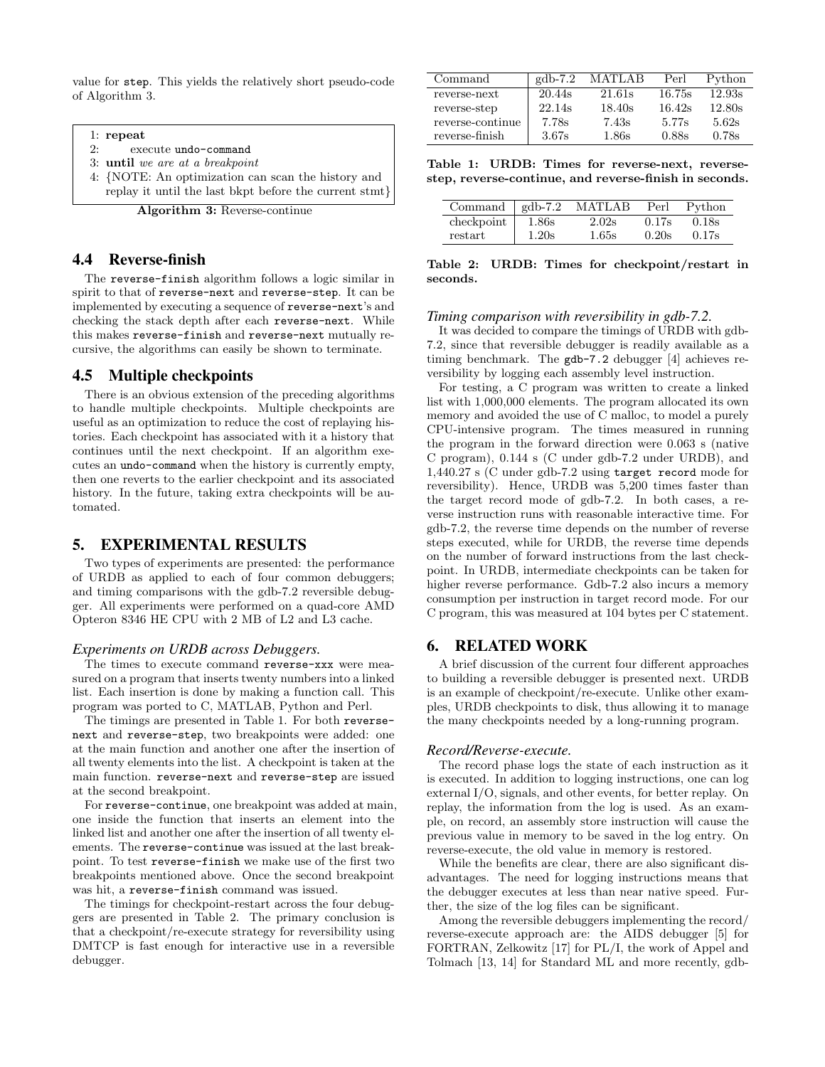value for step. This yields the relatively short pseudo-code of Algorithm 3.

1: repeat

2: execute undo-command

3: until we are at a breakpoint

4: {NOTE: An optimization can scan the history and replay it until the last bkpt before the current stmt}

Algorithm 3: Reverse-continue

#### 4.4 Reverse-finish

The reverse-finish algorithm follows a logic similar in spirit to that of reverse-next and reverse-step. It can be implemented by executing a sequence of reverse-next's and checking the stack depth after each reverse-next. While this makes reverse-finish and reverse-next mutually recursive, the algorithms can easily be shown to terminate.

## 4.5 Multiple checkpoints

There is an obvious extension of the preceding algorithms to handle multiple checkpoints. Multiple checkpoints are useful as an optimization to reduce the cost of replaying histories. Each checkpoint has associated with it a history that continues until the next checkpoint. If an algorithm executes an undo-command when the history is currently empty, then one reverts to the earlier checkpoint and its associated history. In the future, taking extra checkpoints will be automated.

## 5. EXPERIMENTAL RESULTS

Two types of experiments are presented: the performance of URDB as applied to each of four common debuggers; and timing comparisons with the gdb-7.2 reversible debugger. All experiments were performed on a quad-core AMD Opteron 8346 HE CPU with 2 MB of L2 and L3 cache.

#### *Experiments on URDB across Debuggers.*

The times to execute command reverse-xxx were measured on a program that inserts twenty numbers into a linked list. Each insertion is done by making a function call. This program was ported to C, MATLAB, Python and Perl.

The timings are presented in Table 1. For both reversenext and reverse-step, two breakpoints were added: one at the main function and another one after the insertion of all twenty elements into the list. A checkpoint is taken at the main function. reverse-next and reverse-step are issued at the second breakpoint.

For reverse-continue, one breakpoint was added at main, one inside the function that inserts an element into the linked list and another one after the insertion of all twenty elements. The reverse-continue was issued at the last breakpoint. To test reverse-finish we make use of the first two breakpoints mentioned above. Once the second breakpoint was hit, a reverse-finish command was issued.

The timings for checkpoint-restart across the four debuggers are presented in Table 2. The primary conclusion is that a checkpoint/re-execute strategy for reversibility using DMTCP is fast enough for interactive use in a reversible debugger.

| Command          | $gdb-7.2$ | MATLAB | Perl   | Python |
|------------------|-----------|--------|--------|--------|
| reverse-next     | 20.44s    | 21.61s | 16.75s | 12.93s |
| reverse-step     | 22.14s    | 18.40s | 16.42s | 12.80s |
| reverse-continue | 7.78s     | 7.43s  | 5.77s  | 5.62s  |
| reverse-finish   | 3.67s     | 1.86s  | 0.88s  | 0.78s  |

Table 1: URDB: Times for reverse-next, reversestep, reverse-continue, and reverse-finish in seconds.

| Command $\vert$ gdb-7.2 |       | <b>MATLAB</b> | Perl  | Python |
|-------------------------|-------|---------------|-------|--------|
| checkpoint              | 1.86s | 2.02s         | 0.17s | 0.18s  |
| restart                 | 1.20s | 1.65s         | 0.20s | 0.17s  |

Table 2: URDB: Times for checkpoint/restart in seconds.

#### *Timing comparison with reversibility in gdb-7.2.*

It was decided to compare the timings of URDB with gdb-7.2, since that reversible debugger is readily available as a timing benchmark. The gdb-7.2 debugger [4] achieves reversibility by logging each assembly level instruction.

For testing, a C program was written to create a linked list with 1,000,000 elements. The program allocated its own memory and avoided the use of C malloc, to model a purely CPU-intensive program. The times measured in running the program in the forward direction were 0.063 s (native C program), 0.144 s (C under gdb-7.2 under URDB), and 1,440.27 s (C under gdb-7.2 using target record mode for reversibility). Hence, URDB was 5,200 times faster than the target record mode of gdb-7.2. In both cases, a reverse instruction runs with reasonable interactive time. For gdb-7.2, the reverse time depends on the number of reverse steps executed, while for URDB, the reverse time depends on the number of forward instructions from the last checkpoint. In URDB, intermediate checkpoints can be taken for higher reverse performance. Gdb-7.2 also incurs a memory consumption per instruction in target record mode. For our C program, this was measured at 104 bytes per C statement.

## 6. RELATED WORK

A brief discussion of the current four different approaches to building a reversible debugger is presented next. URDB is an example of checkpoint/re-execute. Unlike other examples, URDB checkpoints to disk, thus allowing it to manage the many checkpoints needed by a long-running program.

#### *Record/Reverse-execute.*

The record phase logs the state of each instruction as it is executed. In addition to logging instructions, one can log external I/O, signals, and other events, for better replay. On replay, the information from the log is used. As an example, on record, an assembly store instruction will cause the previous value in memory to be saved in the log entry. On reverse-execute, the old value in memory is restored.

While the benefits are clear, there are also significant disadvantages. The need for logging instructions means that the debugger executes at less than near native speed. Further, the size of the log files can be significant.

Among the reversible debuggers implementing the record/ reverse-execute approach are: the AIDS debugger [5] for FORTRAN, Zelkowitz [17] for PL/I, the work of Appel and Tolmach [13, 14] for Standard ML and more recently, gdb